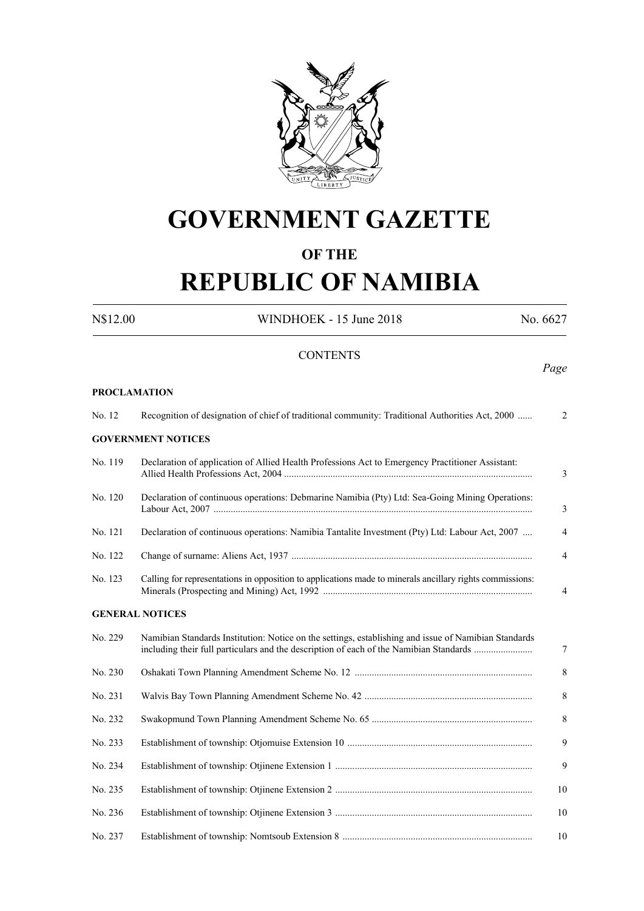

# **GOVERNMENT GAZETTE**

#### **OF THE**

# **REPUBLIC OF NAMIBIA**

N\$12.00 WINDHOEK - 15 June 2018 No. 6627 **CONTENTS** *Page* **PROCLAMATION** No. 12 Recognition of designation of chief of traditional community: Traditional Authorities Act, 2000 ...... 2 **GOVERNMENT NOTICES** No. 119 Declaration of application of Allied Health Professions Act to Emergency Practitioner Assistant: Allied Health Professions Act, 2004 ...................................................................................................... 3 No. 120 Declaration of continuous operations: Debmarine Namibia (Pty) Ltd: Sea-Going Mining Operations: Labour Act, 2007 ................................................................................................................................... 3 No. 121 Declaration of continuous operations: Namibia Tantalite Investment (Pty) Ltd: Labour Act, 2007 .... 4 No. 122 Change of surname: Aliens Act, 1937 ................................................................................................... 4 No. 123 Calling for representations in opposition to applications made to minerals ancillary rights commissions: Minerals (Prospecting and Mining) Act, 1992 ...................................................................................... 4 **GENERAL NOTICES** No. 229 Namibian Standards Institution: Notice on the settings, establishing and issue of Namibian Standards including their full particulars and the description of each of the Namibian Standards ........................ 7 No. 230 Oshakati Town Planning Amendment Scheme No. 12 ......................................................................... 8 No. 231 Walvis Bay Town Planning Amendment Scheme No. 42 ..................................................................... 8 No. 232 Swakopmund Town Planning Amendment Scheme No. 65 .................................................................. 8 No. 233 Establishment of township: Otjomuise Extension 10 ............................................................................ 9 No. 234 Establishment of township: Otjinene Extension 1 ................................................................................. 9 No. 235 Establishment of township: Otjinene Extension 2 ................................................................................. 10 No. 236 Establishment of township: Otjinene Extension 3 ................................................................................. 10 No. 237 Establishment of township: Nomtsoub Extension 8 .............................................................................. 10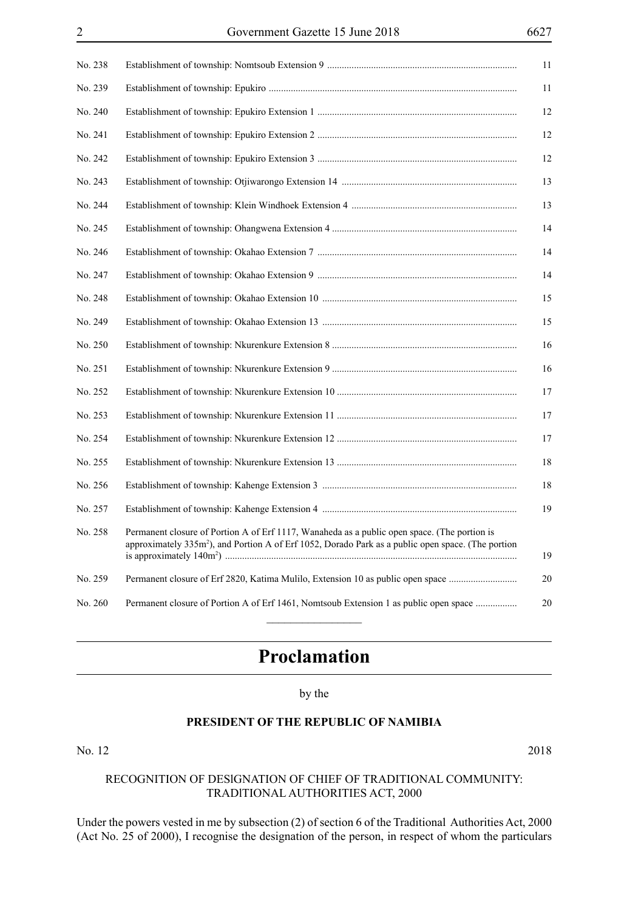| No. 238 | 11                                                                                                                                                                                                                   |
|---------|----------------------------------------------------------------------------------------------------------------------------------------------------------------------------------------------------------------------|
| No. 239 | 11                                                                                                                                                                                                                   |
| No. 240 | 12                                                                                                                                                                                                                   |
| No. 241 | 12                                                                                                                                                                                                                   |
| No. 242 | 12                                                                                                                                                                                                                   |
| No. 243 | 13                                                                                                                                                                                                                   |
| No. 244 | 13                                                                                                                                                                                                                   |
| No. 245 | 14                                                                                                                                                                                                                   |
| No. 246 | 14                                                                                                                                                                                                                   |
| No. 247 | 14                                                                                                                                                                                                                   |
| No. 248 | 15                                                                                                                                                                                                                   |
| No. 249 | 15                                                                                                                                                                                                                   |
| No. 250 | 16                                                                                                                                                                                                                   |
| No. 251 | 16                                                                                                                                                                                                                   |
| No. 252 | 17                                                                                                                                                                                                                   |
| No. 253 | 17                                                                                                                                                                                                                   |
| No. 254 | 17                                                                                                                                                                                                                   |
| No. 255 | 18                                                                                                                                                                                                                   |
| No. 256 | 18                                                                                                                                                                                                                   |
| No. 257 | 19                                                                                                                                                                                                                   |
| No. 258 | Permanent closure of Portion A of Erf 1117, Wanaheda as a public open space. (The portion is<br>approximately 335m <sup>2</sup> ), and Portion A of Erf 1052, Dorado Park as a public open space. (The portion<br>19 |
| No. 259 | $20\,$<br>Permanent closure of Erf 2820, Katima Mulilo, Extension 10 as public open space                                                                                                                            |
| No. 260 | Permanent closure of Portion A of Erf 1461, Nomtsoub Extension 1 as public open space<br>20                                                                                                                          |

## **Proclamation**

#### by the

#### **PRESIDENT OF THE REPUBLIC OF NAMIBIA**

No. 12 2018

#### RECOGNITION OF DESlGNATION OF CHIEF OF TRADITIONAL COMMUNITY: TRADlTIONAL AUTHORITIES ACT, 2000

Under the powers vested in me by subsection (2) of section 6 of the Traditional Authorities Act, 2000 (Act No. 25 of 2000), I recognise the designation of the person, in respect of whom the particulars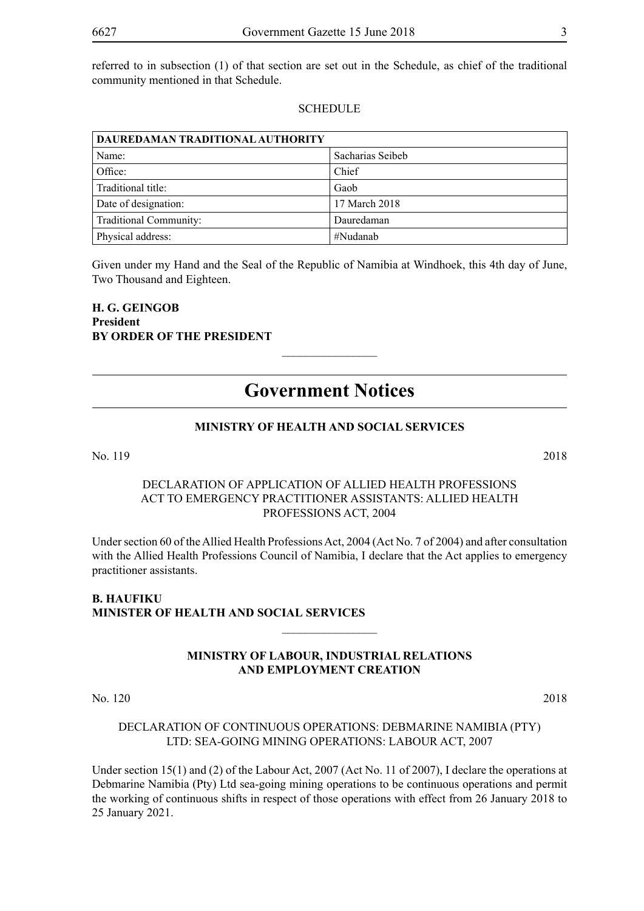referred to in subsection (1) of that section are set out in the Schedule, as chief of the traditional community mentioned in that Schedule.

#### **SCHEDULE**

| DAUREDAMAN TRADITIONAL AUTHORITY |                  |  |
|----------------------------------|------------------|--|
| Name:                            | Sacharias Seibeb |  |
| Office:                          | Chief            |  |
| Traditional title:               | Gaob             |  |
| Date of designation:             | 17 March 2018    |  |
| Traditional Community:           | Dauredaman       |  |
| Physical address:                | #Nudanab         |  |

Given under my Hand and the Seal of the Republic of Namibia at Windhoek, this 4th day of June, Two Thousand and Eighteen.

**H. G. GEINGOB President BY ORDER OF THE PRESIDENT**

### **Government Notices**

 $\frac{1}{2}$ 

#### **MINISTRY OF HEALTH AND SOCIAL SERVICES**

No. 119 2018

#### DECLARATION OF APPLICATION OF ALLIED HEALTH PROFESSIONS ACT TO EMERGENCY PRACTITIONER ASSISTANTS: ALLIED HEALTH PROFESSIONS ACT, 2004

Under section 60 of the Allied Health Professions Act, 2004 (Act No. 7 of 2004) and after consultation with the Allied Health Professions Council of Namibia, I declare that the Act applies to emergency practitioner assistants.

#### **B. HAUFIKU Minister of Health and Social Services**

#### **MINISTRY OF LABOUR, INDUSTRIAL RELATIONS AND EMPLOYMENT CREATION**

 $\overline{\phantom{a}}$  , where  $\overline{\phantom{a}}$ 

No. 120 2018

#### DECLARATION OF CONTINUOUS OPERATIONS: DEBMARINE NAMIBIA (PTY) LTD: SEA-GOING MINING OPERATIONS: LABOUR ACT, 2007

Under section 15(1) and (2) of the Labour Act, 2007 (Act No. 11 of 2007), I declare the operations at Debmarine Namibia (Pty) Ltd sea-going mining operations to be continuous operations and permit the working of continuous shifts in respect of those operations with effect from 26 January 2018 to 25 January 2021.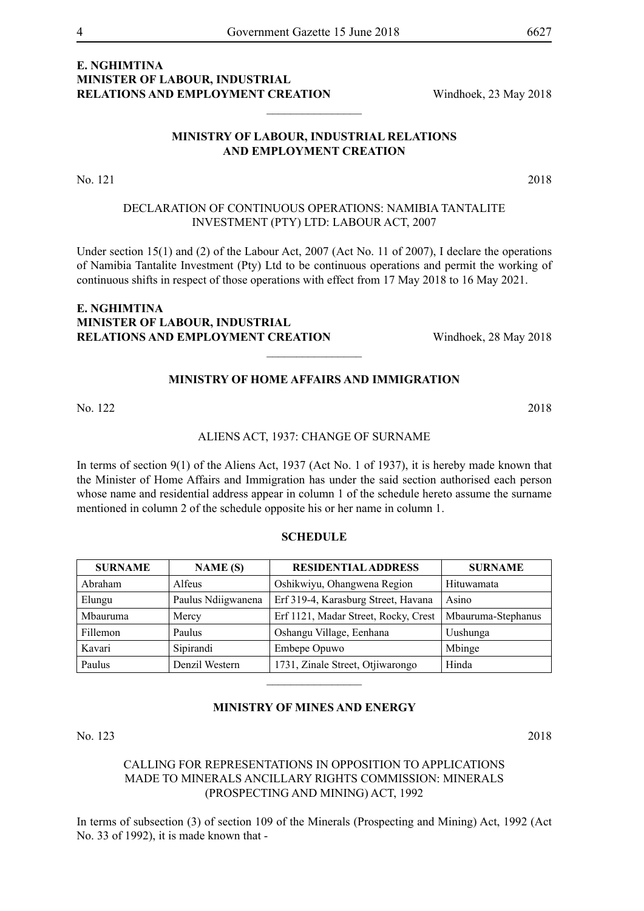$\frac{1}{2}$ 

#### **MINISTRY OF LABOUR, INDUSTRIAL RELATIONS AND EMPLOYMENT CREATION**

No. 121 2018

#### DECLARATION OF CONTINUOUS OPERATIONS: NAMIBIA TANTALITE INVESTMENT (PTY) LTD: LABOUR ACT, 2007

Under section 15(1) and (2) of the Labour Act, 2007 (Act No. 11 of 2007), I declare the operations of Namibia Tantalite Investment (Pty) Ltd to be continuous operations and permit the working of continuous shifts in respect of those operations with effect from 17 May 2018 to 16 May 2021.

#### **e. nghimtina MINISTER OF LABOUR, INDUSTRIAL RELATIONS AND EMPLOYMENT CREATION** Windhoek, 28 May 2018

### **MINISTRY OF HOME AFFAIRS AND IMMIGRATION**

 $\overline{\phantom{a}}$  , where  $\overline{\phantom{a}}$ 

#### ALIENS ACT, 1937: CHANGE OF SURNAME

In terms of section 9(1) of the Aliens Act, 1937 (Act No. 1 of 1937), it is hereby made known that the Minister of Home Affairs and Immigration has under the said section authorised each person whose name and residential address appear in column 1 of the schedule hereto assume the surname mentioned in column 2 of the schedule opposite his or her name in column 1.

#### **SCHEDULE**

| <b>SURNAME</b> | NAME(S)            | <b>RESIDENTIAL ADDRESS</b>           | <b>SURNAME</b>     |
|----------------|--------------------|--------------------------------------|--------------------|
| Abraham        | Alfeus             | Oshikwiyu, Ohangwena Region          | Hituwamata         |
| Elungu         | Paulus Ndiigwanena | Erf 319-4, Karasburg Street, Havana  | Asino              |
| Mbauruma       | Mercy              | Erf 1121, Madar Street, Rocky, Crest | Mbauruma-Stephanus |
| Fillemon       | Paulus             | Oshangu Village, Eenhana             | Uushunga           |
| Kavari         | Sipirandi          | Embepe Opuwo                         | Mbinge             |
| Paulus         | Denzil Western     | 1731, Zinale Street, Otjiwarongo     | Hinda              |
|                |                    |                                      |                    |

#### **MINISTRY OF MINES AND ENERGY**

No. 123 2018

CALLING FOR REPRESENTATIONS IN OPPOSITION TO APPLICATIONS MADE TO MINERALS ANCILLARY RIGHTS COMMISSION: MINERALS (PROSPECTING AND MINING) ACT, 1992

In terms of subsection (3) of section 109 of the Minerals (Prospecting and Mining) Act, 1992 (Act No. 33 of 1992), it is made known that -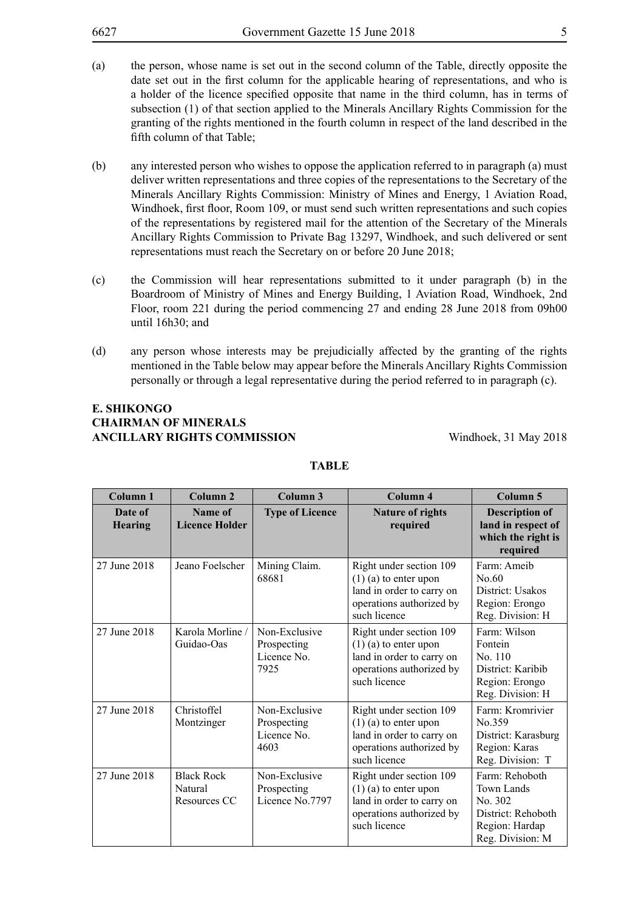| 6627 | Government Gazette 15 June 2018<br>$\overline{\mathcal{L}}$                                                                                                                                 |
|------|---------------------------------------------------------------------------------------------------------------------------------------------------------------------------------------------|
| (a)  | the person, whose name is set out in the second column of the Table, directly opposite the                                                                                                  |
|      | date set out in the first column for the applicable hearing of representations, and who is<br>a holder of the licence specified opposite that name in the third column, has in terms of     |
|      | subsection (1) of that section applied to the Minerals Ancillary Rights Commission for the<br>granting of the rights mentioned in the fourth column in respect of the land described in the |
|      | fifth column of that Table;                                                                                                                                                                 |

- (b) any interested person who wishes to oppose the application referred to in paragraph (a) must deliver written representations and three copies of the representations to the Secretary of the Minerals Ancillary Rights Commission: Ministry of Mines and Energy, 1 Aviation Road, Windhoek, first floor, Room 109, or must send such written representations and such copies of the representations by registered mail for the attention of the Secretary of the Minerals Ancillary Rights Commission to Private Bag 13297, Windhoek, and such delivered or sent representations must reach the Secretary on or before 20 June 2018;
- (c) the Commission will hear representations submitted to it under paragraph (b) in the Boardroom of Ministry of Mines and Energy Building, 1 Aviation Road, Windhoek, 2nd Floor, room 221 during the period commencing 27 and ending 28 June 2018 from 09h00 until 16h30; and
- (d) any person whose interests may be prejudicially affected by the granting of the rights mentioned in the Table below may appear before the Minerals Ancillary Rights Commission personally or through a legal representative during the period referred to in paragraph (c).

#### **E. SHIKONGO CHAIRMAN OF MINERALS ANCILLARY RIGHTS COMMISSION** Windhoek, 31 May 2018

| Column <sub>1</sub>       | Column <sub>2</sub>                          | Column 3                                            | Column 4                                                                                                                    | Column 5                                                                                            |
|---------------------------|----------------------------------------------|-----------------------------------------------------|-----------------------------------------------------------------------------------------------------------------------------|-----------------------------------------------------------------------------------------------------|
| Date of<br><b>Hearing</b> | Name of<br><b>Licence Holder</b>             | <b>Type of Licence</b>                              | <b>Nature of rights</b><br>required                                                                                         | <b>Description of</b><br>land in respect of<br>which the right is<br>required                       |
| 27 June 2018              | Jeano Foelscher                              | Mining Claim.<br>68681                              | Right under section 109<br>$(1)$ (a) to enter upon<br>land in order to carry on<br>operations authorized by<br>such licence | Farm: Ameib<br>No.60<br>District: Usakos<br>Region: Erongo<br>Reg. Division: H                      |
| 27 June 2018              | Karola Morline /<br>Guidao-Oas               | Non-Exclusive<br>Prospecting<br>Licence No.<br>7925 | Right under section 109<br>$(1)$ (a) to enter upon<br>land in order to carry on<br>operations authorized by<br>such licence | Farm: Wilson<br>Fontein<br>No. 110<br>District: Karibib<br>Region: Erongo<br>Reg. Division: H       |
| 27 June 2018              | Christoffel<br>Montzinger                    | Non-Exclusive<br>Prospecting<br>Licence No.<br>4603 | Right under section 109<br>$(1)$ (a) to enter upon<br>land in order to carry on<br>operations authorized by<br>such licence | Farm: Kromrivier<br>No.359<br>District: Karasburg<br>Region: Karas<br>Reg. Division: T              |
| 27 June 2018              | <b>Black Rock</b><br>Natural<br>Resources CC | Non-Exclusive<br>Prospecting<br>Licence No.7797     | Right under section 109<br>$(1)$ (a) to enter upon<br>land in order to carry on<br>operations authorized by<br>such licence | Farm: Rehoboth<br>Town Lands<br>No. 302<br>District: Rehoboth<br>Region: Hardap<br>Reg. Division: M |

#### **TABLE**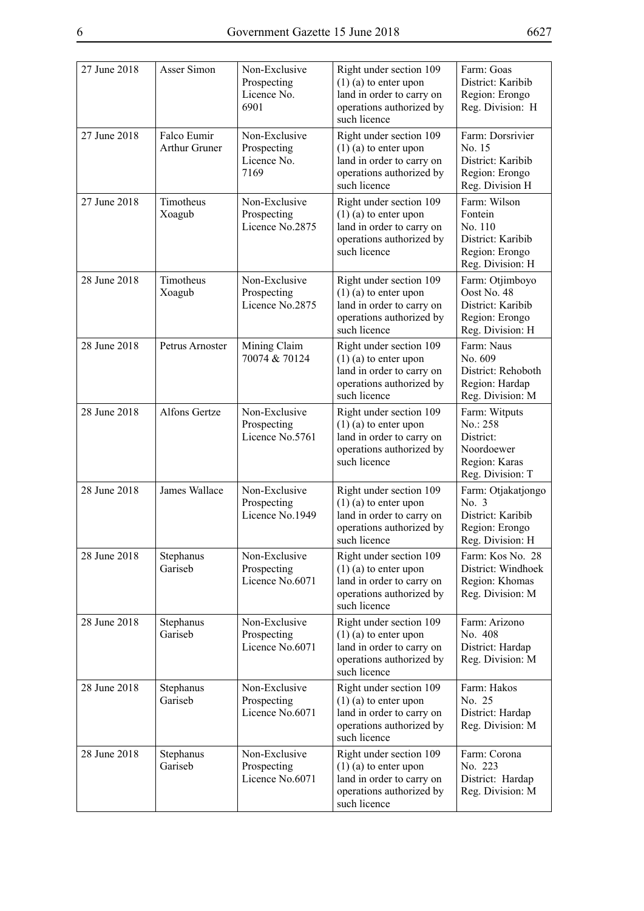| 27 June 2018 | Asser Simon                         | Non-Exclusive<br>Prospecting<br>Licence No.<br>6901 | Right under section 109<br>$(1)$ (a) to enter upon<br>land in order to carry on<br>operations authorized by<br>such licence | Farm: Goas<br>District: Karibib<br>Region: Erongo<br>Reg. Division: H                         |
|--------------|-------------------------------------|-----------------------------------------------------|-----------------------------------------------------------------------------------------------------------------------------|-----------------------------------------------------------------------------------------------|
| 27 June 2018 | Falco Eumir<br><b>Arthur Gruner</b> | Non-Exclusive<br>Prospecting<br>Licence No.<br>7169 | Right under section 109<br>$(1)$ (a) to enter upon<br>land in order to carry on<br>operations authorized by<br>such licence | Farm: Dorsrivier<br>No. 15<br>District: Karibib<br>Region: Erongo<br>Reg. Division H          |
| 27 June 2018 | Timotheus<br>Xoagub                 | Non-Exclusive<br>Prospecting<br>Licence No.2875     | Right under section 109<br>$(1)$ (a) to enter upon<br>land in order to carry on<br>operations authorized by<br>such licence | Farm: Wilson<br>Fontein<br>No. 110<br>District: Karibib<br>Region: Erongo<br>Reg. Division: H |
| 28 June 2018 | Timotheus<br>Xoagub                 | Non-Exclusive<br>Prospecting<br>Licence No.2875     | Right under section 109<br>$(1)$ (a) to enter upon<br>land in order to carry on<br>operations authorized by<br>such licence | Farm: Otjimboyo<br>Oost No. 48<br>District: Karibib<br>Region: Erongo<br>Reg. Division: H     |
| 28 June 2018 | Petrus Arnoster                     | Mining Claim<br>70074 & 70124                       | Right under section 109<br>$(1)$ (a) to enter upon<br>land in order to carry on<br>operations authorized by<br>such licence | Farm: Naus<br>No. 609<br>District: Rehoboth<br>Region: Hardap<br>Reg. Division: M             |
| 28 June 2018 | <b>Alfons Gertze</b>                | Non-Exclusive<br>Prospecting<br>Licence No.5761     | Right under section 109<br>$(1)$ (a) to enter upon<br>land in order to carry on<br>operations authorized by<br>such licence | Farm: Witputs<br>No.: 258<br>District:<br>Noordoewer<br>Region: Karas<br>Reg. Division: T     |
| 28 June 2018 | James Wallace                       | Non-Exclusive<br>Prospecting<br>Licence No.1949     | Right under section 109<br>$(1)$ (a) to enter upon<br>land in order to carry on<br>operations authorized by<br>such licence | Farm: Otjakatjongo<br>No. 3<br>District: Karibib<br>Region: Erongo<br>Reg. Division: H        |
| 28 June 2018 | Stephanus<br>Gariseb                | Non-Exclusive<br>Prospecting<br>Licence No.6071     | Right under section 109<br>$(1)$ (a) to enter upon<br>land in order to carry on<br>operations authorized by<br>such licence | Farm: Kos No. 28<br>District: Windhoek<br>Region: Khomas<br>Reg. Division: M                  |
| 28 June 2018 | Stephanus<br>Gariseb                | Non-Exclusive<br>Prospecting<br>Licence No.6071     | Right under section 109<br>$(1)$ (a) to enter upon<br>land in order to carry on<br>operations authorized by<br>such licence | Farm: Arizono<br>No. 408<br>District: Hardap<br>Reg. Division: M                              |
| 28 June 2018 | Stephanus<br>Gariseb                | Non-Exclusive<br>Prospecting<br>Licence No.6071     | Right under section 109<br>$(1)$ (a) to enter upon<br>land in order to carry on<br>operations authorized by<br>such licence | Farm: Hakos<br>No. 25<br>District: Hardap<br>Reg. Division: M                                 |
| 28 June 2018 | Stephanus<br>Gariseb                | Non-Exclusive<br>Prospecting<br>Licence No.6071     | Right under section 109<br>$(1)$ (a) to enter upon<br>land in order to carry on<br>operations authorized by<br>such licence | Farm: Corona<br>No. 223<br>District: Hardap<br>Reg. Division: M                               |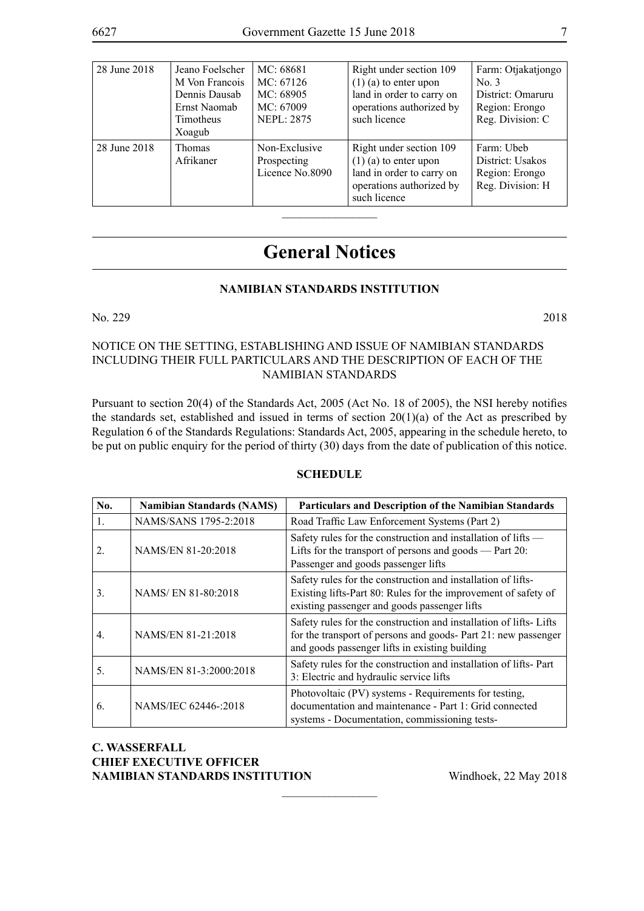| 28 June 2018 | Jeano Foelscher<br>M Von Francois<br>Dennis Dausab<br>Ernst Naomab<br>Timotheus<br>Xoagub | MC: 68681<br>MC: 67126<br>MC: 68905<br>MC: 67009<br><b>NEPL: 2875</b> | Right under section 109<br>$(1)$ (a) to enter upon<br>land in order to carry on<br>operations authorized by<br>such licence | Farm: Otjakatjongo<br>No. 3<br>District: Omaruru<br>Region: Erongo<br>Reg. Division: C |
|--------------|-------------------------------------------------------------------------------------------|-----------------------------------------------------------------------|-----------------------------------------------------------------------------------------------------------------------------|----------------------------------------------------------------------------------------|
| 28 June 2018 | <b>Thomas</b><br>Afrikaner                                                                | Non-Exclusive<br>Prospecting<br>Licence No.8090                       | Right under section 109<br>$(1)$ (a) to enter upon<br>land in order to carry on<br>operations authorized by<br>such licence | Farm: Ubeb<br>District: Usakos<br>Region: Erongo<br>Reg. Division: H                   |

## **General Notices**

#### **NAMIBIAN STANDARDS INSTITUTION**

No. 229 2018

#### NOTICE ON THE SETTING, ESTABLISHING AND ISSUE OF NAMIBIAN STANDARDS INCLUDING THEIR FULL PARTICULARS AND THE DESCRIPTION OF EACH OF THE NAMIBIAN STANDARDS

Pursuant to section 20(4) of the Standards Act, 2005 (Act No. 18 of 2005), the NSI hereby notifies the standards set, established and issued in terms of section 20(1)(a) of the Act as prescribed by Regulation 6 of the Standards Regulations: Standards Act, 2005, appearing in the schedule hereto, to be put on public enquiry for the period of thirty (30) days from the date of publication of this notice.

#### **SCHEDULE**

| No.              | <b>Namibian Standards (NAMS)</b> | Particulars and Description of the Namibian Standards                                                                                                                                 |
|------------------|----------------------------------|---------------------------------------------------------------------------------------------------------------------------------------------------------------------------------------|
| 1.               | NAMS/SANS 1795-2:2018            | Road Traffic Law Enforcement Systems (Part 2)                                                                                                                                         |
| 2.               | NAMS/EN 81-20:2018               | Safety rules for the construction and installation of lifts —<br>Lifts for the transport of persons and goods — Part $20$ :<br>Passenger and goods passenger lifts                    |
| 3.               | NAMS/EN 81-80:2018               | Safety rules for the construction and installation of lifts-<br>Existing lifts-Part 80: Rules for the improvement of safety of<br>existing passenger and goods passenger lifts        |
| $\overline{4}$ . | NAMS/EN 81-21:2018               | Safety rules for the construction and installation of lifts-Lifts<br>for the transport of persons and goods- Part 21: new passenger<br>and goods passenger lifts in existing building |
| 5.               | NAMS/EN 81-3:2000:2018           | Safety rules for the construction and installation of lifts- Part<br>3: Electric and hydraulic service lifts                                                                          |
| 6.               | NAMS/IEC 62446-:2018             | Photovoltaic (PV) systems - Requirements for testing,<br>documentation and maintenance - Part 1: Grid connected<br>systems - Documentation, commissioning tests-                      |

 $\frac{1}{2}$ 

**C. Wasserfall CHIEF EXECUTIVE OFFICER NAMIBIAN STANDARDS INSTITUTION** Windhoek, 22 May 2018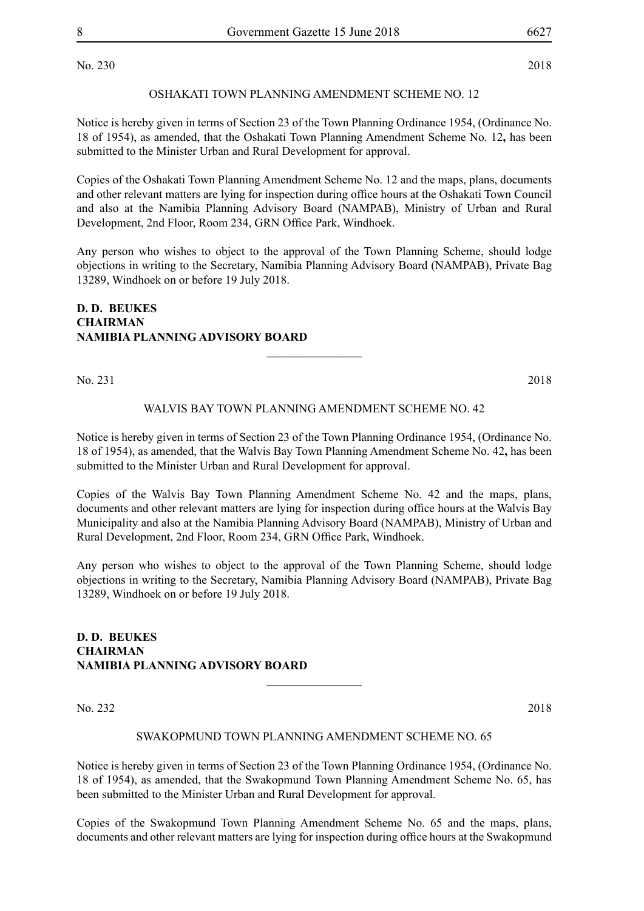No. 230 2018

#### OSHAKATI TOWN PLANNING AMENDMENT SCHEME NO. 12

Notice is hereby given in terms of Section 23 of the Town Planning Ordinance 1954, (Ordinance No. 18 of 1954), as amended, that the Oshakati Town Planning Amendment Scheme No. 12**,** has been submitted to the Minister Urban and Rural Development for approval.

Copies of the Oshakati Town Planning Amendment Scheme No. 12 and the maps, plans, documents and other relevant matters are lying for inspection during office hours at the Oshakati Town Council and also at the Namibia Planning Advisory Board (NAMPAB), Ministry of Urban and Rural Development, 2nd Floor, Room 234, GRN Office Park, Windhoek.

Any person who wishes to object to the approval of the Town Planning Scheme, should lodge objections in writing to the Secretary, Namibia Planning Advisory Board (NAMPAB), Private Bag 13289, Windhoek on or before 19 July 2018.

#### **D. D. BEUKES CHAIRMAN NAMIBIA PLANNING ADVISORY BOARD**

No. 231 2018

#### WALVIS BAY TOWN PLANNING AMENDMENT SCHEME NO. 42

 $\frac{1}{2}$ 

Notice is hereby given in terms of Section 23 of the Town Planning Ordinance 1954, (Ordinance No. 18 of 1954), as amended, that the Walvis Bay Town Planning Amendment Scheme No. 42**,** has been submitted to the Minister Urban and Rural Development for approval.

Copies of the Walvis Bay Town Planning Amendment Scheme No. 42 and the maps, plans, documents and other relevant matters are lying for inspection during office hours at the Walvis Bay Municipality and also at the Namibia Planning Advisory Board (NAMPAB), Ministry of Urban and Rural Development, 2nd Floor, Room 234, GRN Office Park, Windhoek.

Any person who wishes to object to the approval of the Town Planning Scheme, should lodge objections in writing to the Secretary, Namibia Planning Advisory Board (NAMPAB), Private Bag 13289, Windhoek on or before 19 July 2018.

**D. D. BEUKES CHAIRMAN NAMIBIA PLANNING ADVISORY BOARD**

No. 232 2018

#### SWAKOPMUND TOWN PLANNING AMENDMENT SCHEME NO. 65

 $\frac{1}{2}$ 

Notice is hereby given in terms of Section 23 of the Town Planning Ordinance 1954, (Ordinance No. 18 of 1954), as amended, that the Swakopmund Town Planning Amendment Scheme No. 65, has been submitted to the Minister Urban and Rural Development for approval.

Copies of the Swakopmund Town Planning Amendment Scheme No. 65 and the maps, plans, documents and other relevant matters are lying for inspection during office hours at the Swakopmund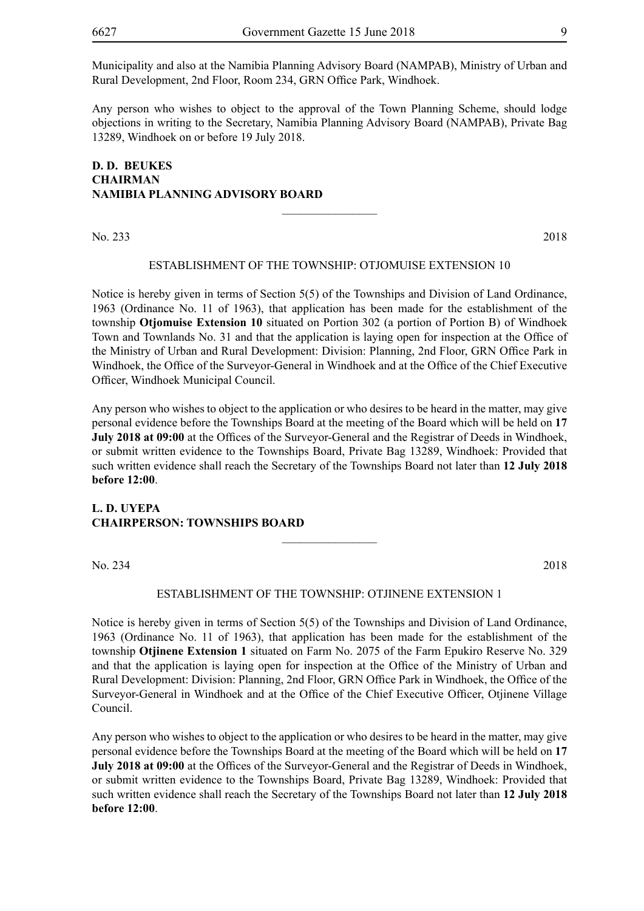Municipality and also at the Namibia Planning Advisory Board (NAMPAB), Ministry of Urban and Rural Development, 2nd Floor, Room 234, GRN Office Park, Windhoek.

Any person who wishes to object to the approval of the Town Planning Scheme, should lodge objections in writing to the Secretary, Namibia Planning Advisory Board (NAMPAB), Private Bag 13289, Windhoek on or before 19 July 2018.

#### **D. D. BEUKES CHAIRMAN NAMIBIA PLANNING ADVISORY BOARD**

No. 233 2018

#### ESTABLISHMENT OF THE TOWNSHIP: OTJOMUISE extension 10

 $\frac{1}{2}$ 

Notice is hereby given in terms of Section 5(5) of the Townships and Division of Land Ordinance, 1963 (Ordinance No. 11 of 1963), that application has been made for the establishment of the township **Otjomuise Extension 10** situated on Portion 302 (a portion of Portion B) of Windhoek Town and Townlands No. 31 and that the application is laying open for inspection at the Office of the Ministry of Urban and Rural Development: Division: Planning, 2nd Floor, GRN Office Park in Windhoek, the Office of the Surveyor-General in Windhoek and at the Office of the Chief Executive Officer, Windhoek Municipal Council.

Any person who wishes to object to the application or who desires to be heard in the matter, may give personal evidence before the Townships Board at the meeting of the Board which will be held on **17 July 2018 at 09:00** at the Offices of the Surveyor-General and the Registrar of Deeds in Windhoek, or submit written evidence to the Townships Board, Private Bag 13289, Windhoek: Provided that such written evidence shall reach the Secretary of the Townships Board not later than **12 July 2018 before 12:00**.

#### **L. D. UYEPA CHAIRPERSON: TOWNSHIPS BOARD**

No. 234 2018

#### ESTABLISHMENT OF THE TOWNSHIP: OTJINENE extension 1

 $\frac{1}{2}$ 

Notice is hereby given in terms of Section 5(5) of the Townships and Division of Land Ordinance, 1963 (Ordinance No. 11 of 1963), that application has been made for the establishment of the township **Otjinene Extension 1** situated on Farm No. 2075 of the Farm Epukiro Reserve No. 329 and that the application is laying open for inspection at the Office of the Ministry of Urban and Rural Development: Division: Planning, 2nd Floor, GRN Office Park in Windhoek, the Office of the Surveyor-General in Windhoek and at the Office of the Chief Executive Officer, Otjinene Village Council.

Any person who wishes to object to the application or who desires to be heard in the matter, may give personal evidence before the Townships Board at the meeting of the Board which will be held on **17 July 2018 at 09:00** at the Offices of the Surveyor-General and the Registrar of Deeds in Windhoek, or submit written evidence to the Townships Board, Private Bag 13289, Windhoek: Provided that such written evidence shall reach the Secretary of the Townships Board not later than **12 July 2018 before 12:00**.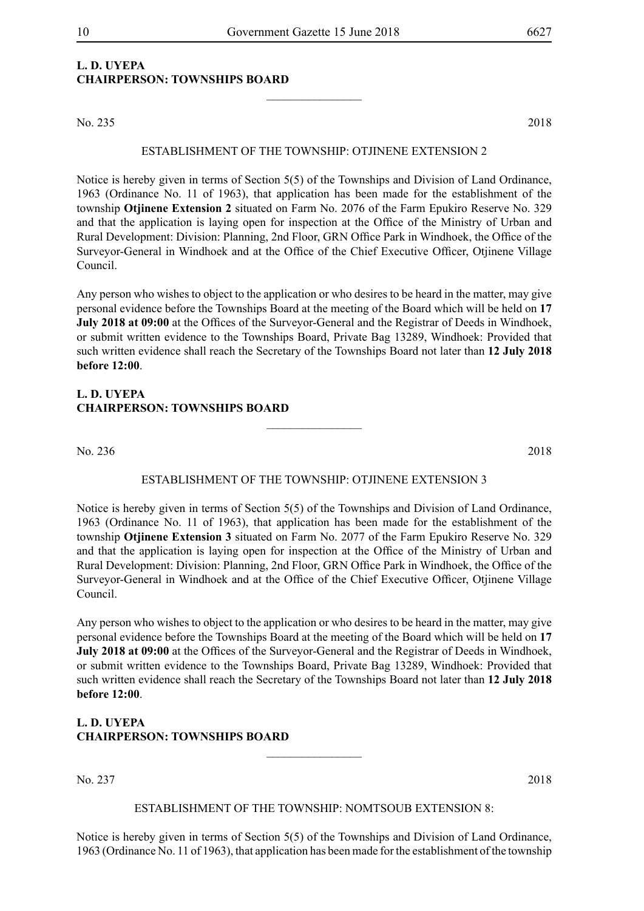### **L. D. UYEPA CHAIRPERSON: TOWNSHIPS BOARD**

No. 235 2018

#### ESTABLISHMENT OF THE TOWNSHIP: OTJINENE extension 2

 $\frac{1}{2}$ 

Notice is hereby given in terms of Section 5(5) of the Townships and Division of Land Ordinance, 1963 (Ordinance No. 11 of 1963), that application has been made for the establishment of the township **Otjinene Extension 2** situated on Farm No. 2076 of the Farm Epukiro Reserve No. 329 and that the application is laying open for inspection at the Office of the Ministry of Urban and Rural Development: Division: Planning, 2nd Floor, GRN Office Park in Windhoek, the Office of the Surveyor-General in Windhoek and at the Office of the Chief Executive Officer, Otjinene Village Council.

Any person who wishes to object to the application or who desires to be heard in the matter, may give personal evidence before the Townships Board at the meeting of the Board which will be held on **17 July 2018 at 09:00** at the Offices of the Surveyor-General and the Registrar of Deeds in Windhoek, or submit written evidence to the Townships Board, Private Bag 13289, Windhoek: Provided that such written evidence shall reach the Secretary of the Townships Board not later than **12 July 2018 before 12:00**.

#### **L. D. UYEPA CHAIRPERSON: TOWNSHIPS BOARD**

No. 236 2018

#### ESTABLISHMENT OF THE TOWNSHIP: OTJINENE extension 3

 $\overline{\phantom{a}}$  , where  $\overline{\phantom{a}}$ 

Notice is hereby given in terms of Section 5(5) of the Townships and Division of Land Ordinance, 1963 (Ordinance No. 11 of 1963), that application has been made for the establishment of the township **Otjinene Extension 3** situated on Farm No. 2077 of the Farm Epukiro Reserve No. 329 and that the application is laying open for inspection at the Office of the Ministry of Urban and Rural Development: Division: Planning, 2nd Floor, GRN Office Park in Windhoek, the Office of the Surveyor-General in Windhoek and at the Office of the Chief Executive Officer, Otjinene Village Council.

Any person who wishes to object to the application or who desires to be heard in the matter, may give personal evidence before the Townships Board at the meeting of the Board which will be held on **17 July 2018 at 09:00** at the Offices of the Surveyor-General and the Registrar of Deeds in Windhoek, or submit written evidence to the Townships Board, Private Bag 13289, Windhoek: Provided that such written evidence shall reach the Secretary of the Townships Board not later than **12 July 2018 before 12:00**.

#### **L. D. UYEPA CHAIRPERSON: TOWNSHIPS BOARD**

No. 237 2018

#### ESTABLISHMENT OF THE TOWNSHIP: NOMTSOUB extension 8:

 $\overline{\phantom{a}}$  , where  $\overline{\phantom{a}}$ 

Notice is hereby given in terms of Section 5(5) of the Townships and Division of Land Ordinance, 1963 (Ordinance No. 11 of 1963), that application has been made for the establishment of the township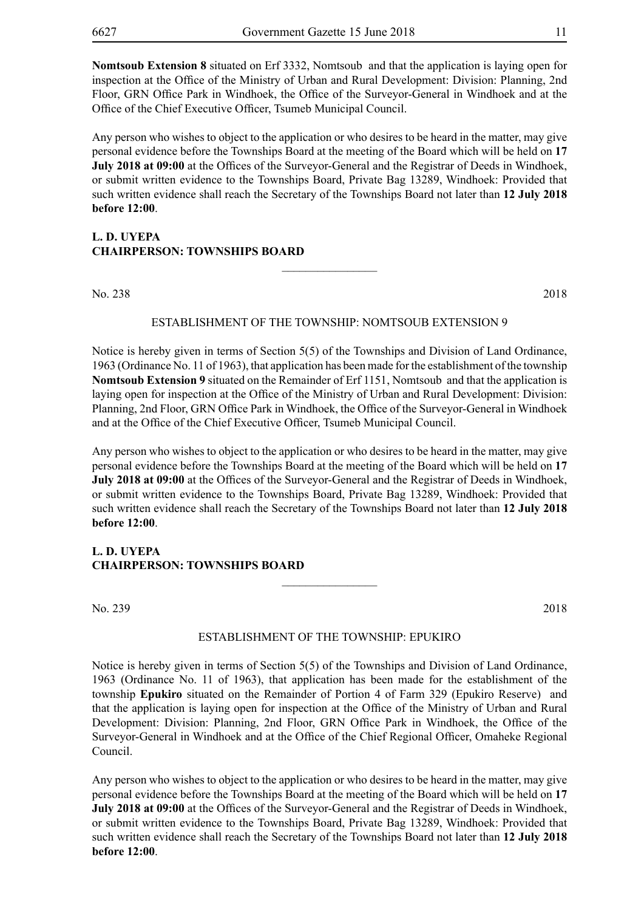**Nomtsoub Extension 8** situated on Erf 3332, Nomtsoub and that the application is laying open for inspection at the Office of the Ministry of Urban and Rural Development: Division: Planning, 2nd Floor, GRN Office Park in Windhoek, the Office of the Surveyor-General in Windhoek and at the Office of the Chief Executive Officer, Tsumeb Municipal Council.

Any person who wishes to object to the application or who desires to be heard in the matter, may give personal evidence before the Townships Board at the meeting of the Board which will be held on **17 July 2018 at 09:00** at the Offices of the Surveyor-General and the Registrar of Deeds in Windhoek, or submit written evidence to the Townships Board, Private Bag 13289, Windhoek: Provided that such written evidence shall reach the Secretary of the Townships Board not later than **12 July 2018 before 12:00**.

#### **L. D. UYEPA CHAIRPERSON: TOWNSHIPS BOARD**

No. 238 2018

#### ESTABLISHMENT OF THE TOWNSHIP: NOMTSOUB extension 9

 $\frac{1}{2}$ 

Notice is hereby given in terms of Section 5(5) of the Townships and Division of Land Ordinance, 1963 (Ordinance No. 11 of 1963), that application has been made for the establishment of the township **Nomtsoub Extension 9** situated on the Remainder of Erf 1151, Nomtsoub and that the application is laying open for inspection at the Office of the Ministry of Urban and Rural Development: Division: Planning, 2nd Floor, GRN Office Park in Windhoek, the Office of the Surveyor-General in Windhoek and at the Office of the Chief Executive Officer, Tsumeb Municipal Council.

Any person who wishes to object to the application or who desires to be heard in the matter, may give personal evidence before the Townships Board at the meeting of the Board which will be held on **17 July 2018 at 09:00** at the Offices of the Surveyor-General and the Registrar of Deeds in Windhoek, or submit written evidence to the Townships Board, Private Bag 13289, Windhoek: Provided that such written evidence shall reach the Secretary of the Townships Board not later than **12 July 2018 before 12:00**.

#### **L. D. UYEPA CHAIRPERSON: TOWNSHIPS BOARD**

No. 239 2018

#### ESTABLISHMENT OF THE TOWNSHIP: EPUKIRO

 $\overline{\phantom{a}}$  , where  $\overline{\phantom{a}}$ 

Notice is hereby given in terms of Section 5(5) of the Townships and Division of Land Ordinance, 1963 (Ordinance No. 11 of 1963), that application has been made for the establishment of the township **Epukiro** situated on the Remainder of Portion 4 of Farm 329 (Epukiro Reserve) and that the application is laying open for inspection at the Office of the Ministry of Urban and Rural Development: Division: Planning, 2nd Floor, GRN Office Park in Windhoek, the Office of the Surveyor-General in Windhoek and at the Office of the Chief Regional Officer, Omaheke Regional Council.

Any person who wishes to object to the application or who desires to be heard in the matter, may give personal evidence before the Townships Board at the meeting of the Board which will be held on **17 July 2018 at 09:00** at the Offices of the Surveyor-General and the Registrar of Deeds in Windhoek, or submit written evidence to the Townships Board, Private Bag 13289, Windhoek: Provided that such written evidence shall reach the Secretary of the Townships Board not later than **12 July 2018 before 12:00**.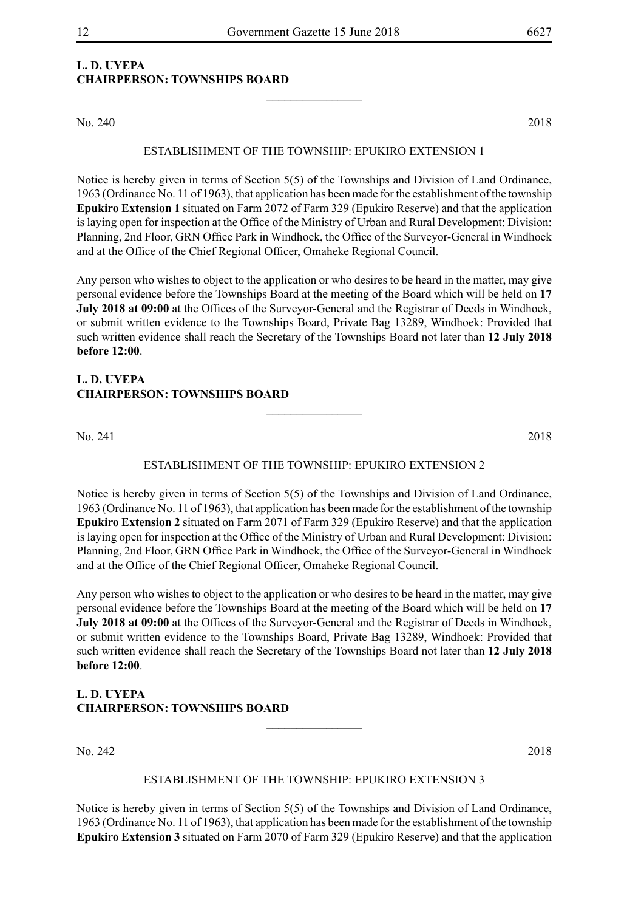#### **L. D. UYEPA CHAIRPERSON: TOWNSHIPS BOARD**

No. 240 2018

#### ESTABLISHMENT OF THE TOWNSHIP: EPUKIRO EXTENSION 1

 $\frac{1}{2}$ 

Notice is hereby given in terms of Section 5(5) of the Townships and Division of Land Ordinance, 1963 (Ordinance No. 11 of 1963), that application has been made for the establishment of the township **Epukiro Extension 1** situated on Farm 2072 of Farm 329 (Epukiro Reserve) and that the application is laying open for inspection at the Office of the Ministry of Urban and Rural Development: Division: Planning, 2nd Floor, GRN Office Park in Windhoek, the Office of the Surveyor-General in Windhoek and at the Office of the Chief Regional Officer, Omaheke Regional Council.

Any person who wishes to object to the application or who desires to be heard in the matter, may give personal evidence before the Townships Board at the meeting of the Board which will be held on **17 July 2018 at 09:00** at the Offices of the Surveyor-General and the Registrar of Deeds in Windhoek, or submit written evidence to the Townships Board, Private Bag 13289, Windhoek: Provided that such written evidence shall reach the Secretary of the Townships Board not later than **12 July 2018 before 12:00**.

#### **L. D. UYEPA CHAIRPERSON: TOWNSHIPS BOARD**

No. 241 2018

#### ESTABLISHMENT OF THE TOWNSHIP: EPUKIRO EXTENSION 2

 $\overline{\phantom{a}}$  , where  $\overline{\phantom{a}}$ 

Notice is hereby given in terms of Section 5(5) of the Townships and Division of Land Ordinance, 1963 (Ordinance No. 11 of 1963), that application has been made for the establishment of the township **Epukiro Extension 2** situated on Farm 2071 of Farm 329 (Epukiro Reserve) and that the application is laying open for inspection at the Office of the Ministry of Urban and Rural Development: Division: Planning, 2nd Floor, GRN Office Park in Windhoek, the Office of the Surveyor-General in Windhoek and at the Office of the Chief Regional Officer, Omaheke Regional Council.

Any person who wishes to object to the application or who desires to be heard in the matter, may give personal evidence before the Townships Board at the meeting of the Board which will be held on **17 July 2018 at 09:00** at the Offices of the Surveyor-General and the Registrar of Deeds in Windhoek, or submit written evidence to the Townships Board, Private Bag 13289, Windhoek: Provided that such written evidence shall reach the Secretary of the Townships Board not later than **12 July 2018 before 12:00**.

#### **L. D. UYEPA CHAIRPERSON: TOWNSHIPS BOARD**

No. 242 2018

#### ESTABLISHMENT OF THE TOWNSHIP: EPUKIRO EXTENSION 3

 $\frac{1}{2}$ 

Notice is hereby given in terms of Section 5(5) of the Townships and Division of Land Ordinance, 1963 (Ordinance No. 11 of 1963), that application has been made for the establishment of the township **Epukiro Extension 3** situated on Farm 2070 of Farm 329 (Epukiro Reserve) and that the application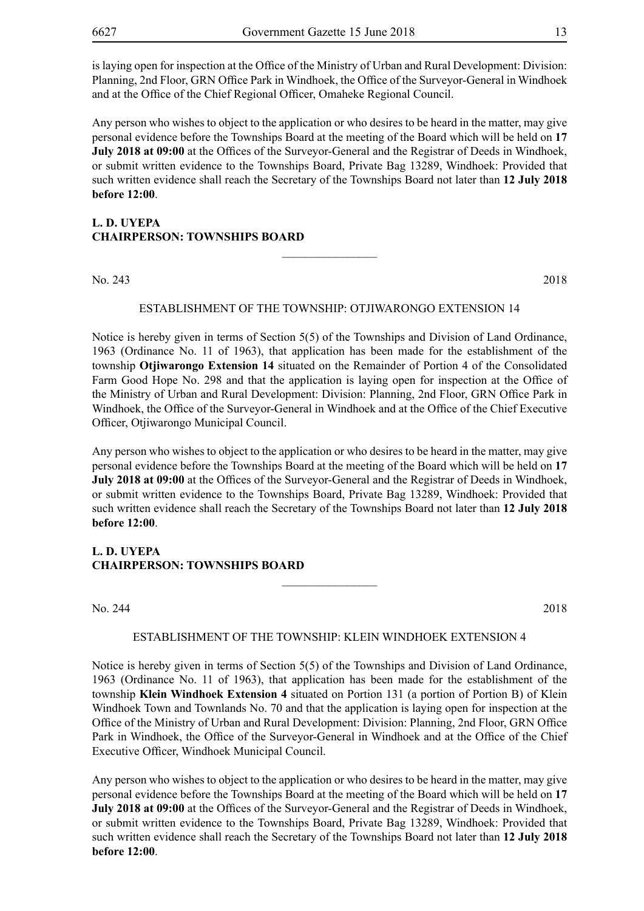is laying open for inspection at the Office of the Ministry of Urban and Rural Development: Division: Planning, 2nd Floor, GRN Office Park in Windhoek, the Office of the Surveyor-General in Windhoek and at the Office of the Chief Regional Officer, Omaheke Regional Council.

Any person who wishes to object to the application or who desires to be heard in the matter, may give personal evidence before the Townships Board at the meeting of the Board which will be held on **17 July 2018 at 09:00** at the Offices of the Surveyor-General and the Registrar of Deeds in Windhoek. or submit written evidence to the Townships Board, Private Bag 13289, Windhoek: Provided that such written evidence shall reach the Secretary of the Townships Board not later than **12 July 2018 before 12:00**.

#### **L. D. UYEPA CHAIRPERSON: TOWNSHIPS BOARD**

No. 243 2018

#### ESTABLISHMENT OF THE TOWNSHIP: OTJIWARONGO EXTENSION 14

 $\overline{\phantom{a}}$  , where  $\overline{\phantom{a}}$ 

Notice is hereby given in terms of Section 5(5) of the Townships and Division of Land Ordinance, 1963 (Ordinance No. 11 of 1963), that application has been made for the establishment of the township **Otjiwarongo Extension 14** situated on the Remainder of Portion 4 of the Consolidated Farm Good Hope No. 298 and that the application is laying open for inspection at the Office of the Ministry of Urban and Rural Development: Division: Planning, 2nd Floor, GRN Office Park in Windhoek, the Office of the Surveyor-General in Windhoek and at the Office of the Chief Executive Officer, Otjiwarongo Municipal Council.

Any person who wishes to object to the application or who desires to be heard in the matter, may give personal evidence before the Townships Board at the meeting of the Board which will be held on **17 July 2018 at 09:00** at the Offices of the Surveyor-General and the Registrar of Deeds in Windhoek, or submit written evidence to the Townships Board, Private Bag 13289, Windhoek: Provided that such written evidence shall reach the Secretary of the Townships Board not later than **12 July 2018 before 12:00**.

#### **L. D. UYEPA CHAIRPERSON: TOWNSHIPS BOARD**

No. 244 2018

#### ESTABLISHMENT OF THE TOWNSHIP: KLEIN WINDHOEK extension 4

 $\overline{\phantom{a}}$  , where  $\overline{\phantom{a}}$ 

Notice is hereby given in terms of Section 5(5) of the Townships and Division of Land Ordinance, 1963 (Ordinance No. 11 of 1963), that application has been made for the establishment of the township **Klein Windhoek Extension 4** situated on Portion 131 (a portion of Portion B) of Klein Windhoek Town and Townlands No. 70 and that the application is laying open for inspection at the Office of the Ministry of Urban and Rural Development: Division: Planning, 2nd Floor, GRN Office Park in Windhoek, the Office of the Surveyor-General in Windhoek and at the Office of the Chief Executive Officer, Windhoek Municipal Council.

Any person who wishes to object to the application or who desires to be heard in the matter, may give personal evidence before the Townships Board at the meeting of the Board which will be held on **17 July 2018 at 09:00** at the Offices of the Surveyor-General and the Registrar of Deeds in Windhoek, or submit written evidence to the Townships Board, Private Bag 13289, Windhoek: Provided that such written evidence shall reach the Secretary of the Townships Board not later than **12 July 2018 before 12:00**.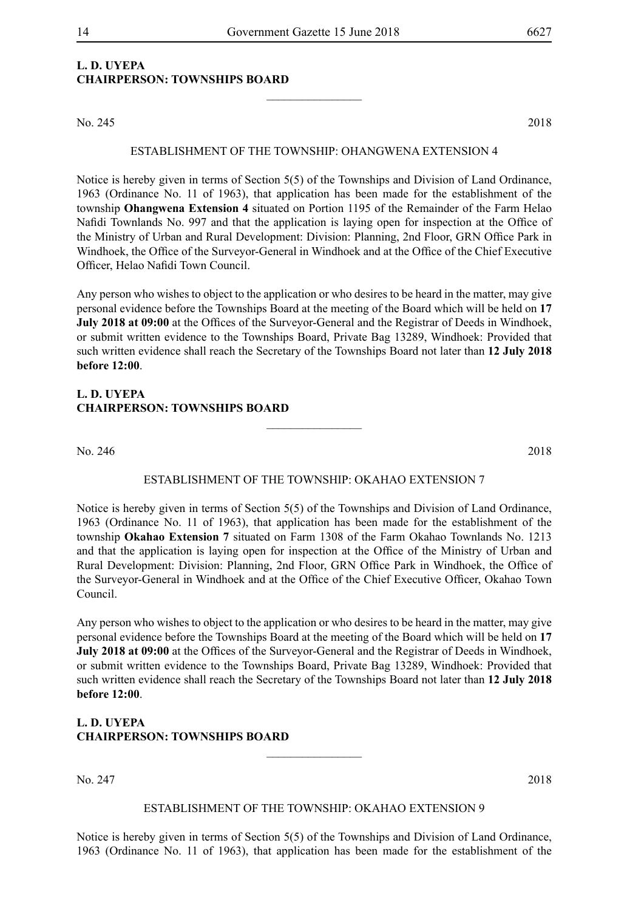$\frac{1}{2}$ 

### **L. D. UYEPA CHAIRPERSON: TOWNSHIPS BOARD**

No. 245 2018

#### ESTABLISHMENT OF THE TOWNSHIP: OHANGWENA extension 4

Notice is hereby given in terms of Section 5(5) of the Townships and Division of Land Ordinance, 1963 (Ordinance No. 11 of 1963), that application has been made for the establishment of the township **Ohangwena Extension 4** situated on Portion 1195 of the Remainder of the Farm Helao Nafidi Townlands No. 997 and that the application is laying open for inspection at the Office of the Ministry of Urban and Rural Development: Division: Planning, 2nd Floor, GRN Office Park in Windhoek, the Office of the Surveyor-General in Windhoek and at the Office of the Chief Executive Officer, Helao Nafidi Town Council.

Any person who wishes to object to the application or who desires to be heard in the matter, may give personal evidence before the Townships Board at the meeting of the Board which will be held on **17 July 2018 at 09:00** at the Offices of the Surveyor-General and the Registrar of Deeds in Windhoek, or submit written evidence to the Townships Board, Private Bag 13289, Windhoek: Provided that such written evidence shall reach the Secretary of the Townships Board not later than **12 July 2018 before 12:00**.

#### **L. D. UYEPA CHAIRPERSON: TOWNSHIPS BOARD**

No. 246 2018

#### ESTABLISHMENT OF THE TOWNSHIP: OKAHAO extension 7

 $\overline{\phantom{a}}$  , where  $\overline{\phantom{a}}$ 

Notice is hereby given in terms of Section 5(5) of the Townships and Division of Land Ordinance, 1963 (Ordinance No. 11 of 1963), that application has been made for the establishment of the township **Okahao Extension 7** situated on Farm 1308 of the Farm Okahao Townlands No. 1213 and that the application is laying open for inspection at the Office of the Ministry of Urban and Rural Development: Division: Planning, 2nd Floor, GRN Office Park in Windhoek, the Office of the Surveyor-General in Windhoek and at the Office of the Chief Executive Officer, Okahao Town Council.

Any person who wishes to object to the application or who desires to be heard in the matter, may give personal evidence before the Townships Board at the meeting of the Board which will be held on **17 July 2018 at 09:00** at the Offices of the Surveyor-General and the Registrar of Deeds in Windhoek, or submit written evidence to the Townships Board, Private Bag 13289, Windhoek: Provided that such written evidence shall reach the Secretary of the Townships Board not later than **12 July 2018 before 12:00**.

#### **L. D. UYEPA CHAIRPERSON: TOWNSHIPS BOARD**

No. 247 2018

#### ESTABLISHMENT OF THE TOWNSHIP: OKAHAO extension 9

 $\overline{\phantom{a}}$  , where  $\overline{\phantom{a}}$ 

Notice is hereby given in terms of Section 5(5) of the Townships and Division of Land Ordinance, 1963 (Ordinance No. 11 of 1963), that application has been made for the establishment of the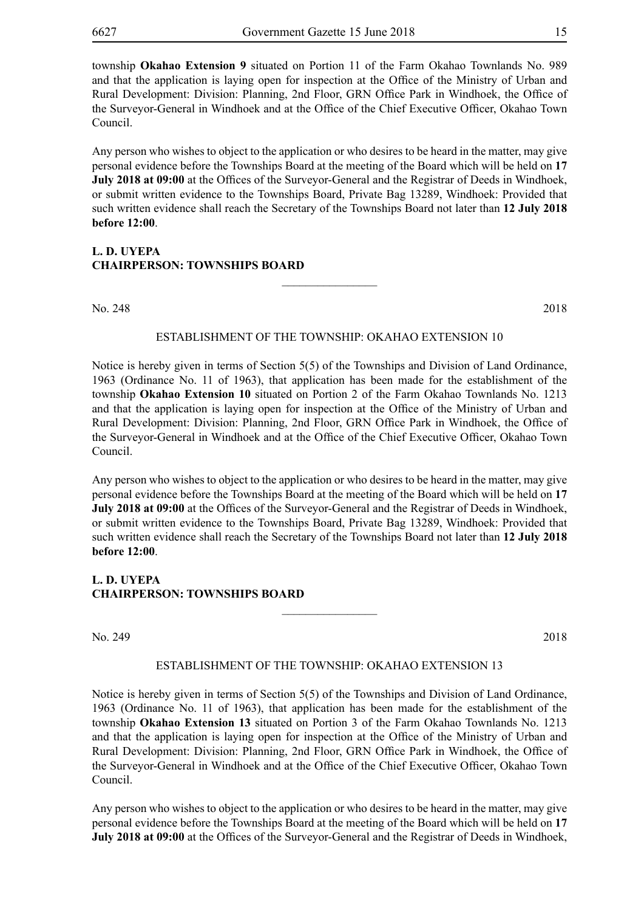township **Okahao Extension 9** situated on Portion 11 of the Farm Okahao Townlands No. 989 and that the application is laying open for inspection at the Office of the Ministry of Urban and Rural Development: Division: Planning, 2nd Floor, GRN Office Park in Windhoek, the Office of the Surveyor-General in Windhoek and at the Office of the Chief Executive Officer, Okahao Town Council.

Any person who wishes to object to the application or who desires to be heard in the matter, may give personal evidence before the Townships Board at the meeting of the Board which will be held on **17 July 2018 at 09:00** at the Offices of the Surveyor-General and the Registrar of Deeds in Windhoek, or submit written evidence to the Townships Board, Private Bag 13289, Windhoek: Provided that such written evidence shall reach the Secretary of the Townships Board not later than **12 July 2018 before 12:00**.

#### **L. D. UYEPA CHAIRPERSON: TOWNSHIPS BOARD**

No. 248 2018

#### ESTABLISHMENT OF THE TOWNSHIP: OKAHAO extension 10

 $\frac{1}{2}$ 

Notice is hereby given in terms of Section 5(5) of the Townships and Division of Land Ordinance, 1963 (Ordinance No. 11 of 1963), that application has been made for the establishment of the township **Okahao Extension 10** situated on Portion 2 of the Farm Okahao Townlands No. 1213 and that the application is laying open for inspection at the Office of the Ministry of Urban and Rural Development: Division: Planning, 2nd Floor, GRN Office Park in Windhoek, the Office of the Surveyor-General in Windhoek and at the Office of the Chief Executive Officer, Okahao Town Council.

Any person who wishes to object to the application or who desires to be heard in the matter, may give personal evidence before the Townships Board at the meeting of the Board which will be held on **17 July 2018 at 09:00** at the Offices of the Surveyor-General and the Registrar of Deeds in Windhoek, or submit written evidence to the Townships Board, Private Bag 13289, Windhoek: Provided that such written evidence shall reach the Secretary of the Townships Board not later than **12 July 2018 before 12:00**.

#### **L. D. UYEPA CHAIRPERSON: TOWNSHIPS BOARD**

No. 249 2018

#### ESTABLISHMENT OF THE TOWNSHIP: OKAHAO extension 13

 $\frac{1}{2}$ 

Notice is hereby given in terms of Section 5(5) of the Townships and Division of Land Ordinance, 1963 (Ordinance No. 11 of 1963), that application has been made for the establishment of the township **Okahao Extension 13** situated on Portion 3 of the Farm Okahao Townlands No. 1213 and that the application is laying open for inspection at the Office of the Ministry of Urban and Rural Development: Division: Planning, 2nd Floor, GRN Office Park in Windhoek, the Office of the Surveyor-General in Windhoek and at the Office of the Chief Executive Officer, Okahao Town Council.

Any person who wishes to object to the application or who desires to be heard in the matter, may give personal evidence before the Townships Board at the meeting of the Board which will be held on **17 July 2018 at 09:00** at the Offices of the Surveyor-General and the Registrar of Deeds in Windhoek,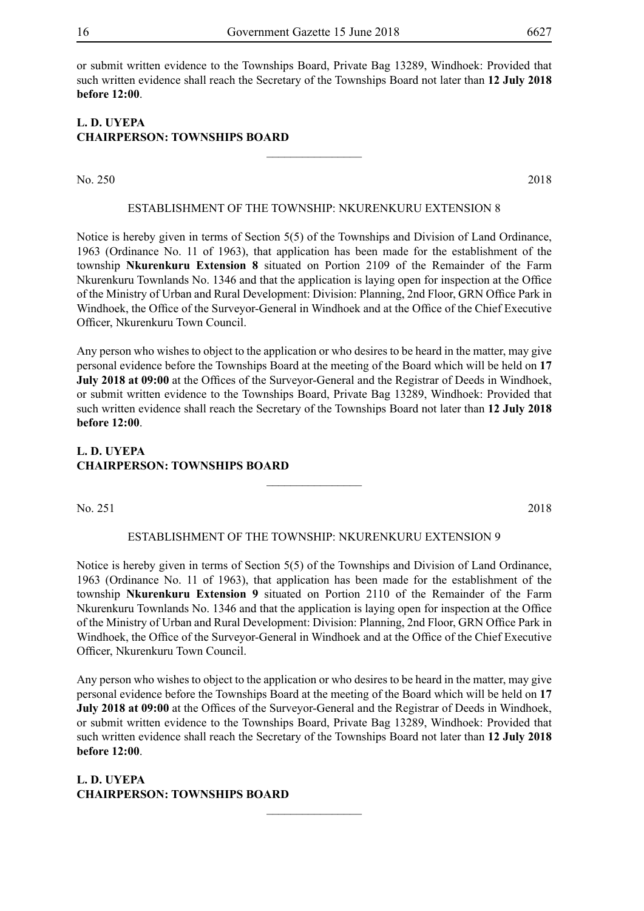or submit written evidence to the Townships Board, Private Bag 13289, Windhoek: Provided that such written evidence shall reach the Secretary of the Townships Board not later than **12 July 2018 before 12:00**.

#### **L. D. UYEPA CHAIRPERSON: TOWNSHIPS BOARD**

No. 250 2018

#### ESTABLISHMENT OF THE TOWNSHIP: NKURENKURU extension 8

 $\frac{1}{2}$ 

Notice is hereby given in terms of Section 5(5) of the Townships and Division of Land Ordinance, 1963 (Ordinance No. 11 of 1963), that application has been made for the establishment of the township **Nkurenkuru Extension 8** situated on Portion 2109 of the Remainder of the Farm Nkurenkuru Townlands No. 1346 and that the application is laying open for inspection at the Office of the Ministry of Urban and Rural Development: Division: Planning, 2nd Floor, GRN Office Park in Windhoek, the Office of the Surveyor-General in Windhoek and at the Office of the Chief Executive Officer, Nkurenkuru Town Council.

Any person who wishes to object to the application or who desires to be heard in the matter, may give personal evidence before the Townships Board at the meeting of the Board which will be held on **17 July 2018 at 09:00** at the Offices of the Surveyor-General and the Registrar of Deeds in Windhoek, or submit written evidence to the Townships Board, Private Bag 13289, Windhoek: Provided that such written evidence shall reach the Secretary of the Townships Board not later than **12 July 2018 before 12:00**.

#### **L. D. UYEPA CHAIRPERSON: TOWNSHIPS BOARD**

No. 251 2018

#### ESTABLISHMENT OF THE TOWNSHIP: NKURENKURU extension 9

 $\frac{1}{2}$ 

Notice is hereby given in terms of Section 5(5) of the Townships and Division of Land Ordinance, 1963 (Ordinance No. 11 of 1963), that application has been made for the establishment of the township **Nkurenkuru Extension 9** situated on Portion 2110 of the Remainder of the Farm Nkurenkuru Townlands No. 1346 and that the application is laying open for inspection at the Office of the Ministry of Urban and Rural Development: Division: Planning, 2nd Floor, GRN Office Park in Windhoek, the Office of the Surveyor-General in Windhoek and at the Office of the Chief Executive Officer, Nkurenkuru Town Council.

Any person who wishes to object to the application or who desires to be heard in the matter, may give personal evidence before the Townships Board at the meeting of the Board which will be held on **17 July 2018 at 09:00** at the Offices of the Surveyor-General and the Registrar of Deeds in Windhoek, or submit written evidence to the Townships Board, Private Bag 13289, Windhoek: Provided that such written evidence shall reach the Secretary of the Townships Board not later than **12 July 2018 before 12:00**.

 $\frac{1}{2}$ 

**L. D. UYEPA CHAIRPERSON: TOWNSHIPS BOARD**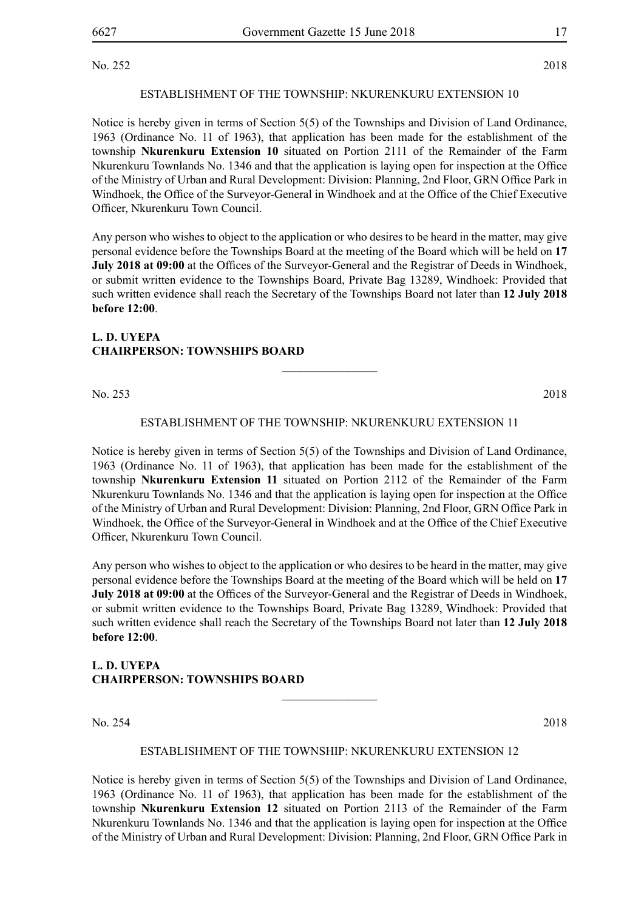No. 252 2018

#### ESTABLISHMENT OF THE TOWNSHIP: NKURENKURU extension 10

Notice is hereby given in terms of Section 5(5) of the Townships and Division of Land Ordinance, 1963 (Ordinance No. 11 of 1963), that application has been made for the establishment of the township **Nkurenkuru Extension 10** situated on Portion 2111 of the Remainder of the Farm Nkurenkuru Townlands No. 1346 and that the application is laying open for inspection at the Office of the Ministry of Urban and Rural Development: Division: Planning, 2nd Floor, GRN Office Park in Windhoek, the Office of the Surveyor-General in Windhoek and at the Office of the Chief Executive Officer, Nkurenkuru Town Council.

Any person who wishes to object to the application or who desires to be heard in the matter, may give personal evidence before the Townships Board at the meeting of the Board which will be held on **17 July 2018 at 09:00** at the Offices of the Surveyor-General and the Registrar of Deeds in Windhoek, or submit written evidence to the Townships Board, Private Bag 13289, Windhoek: Provided that such written evidence shall reach the Secretary of the Townships Board not later than **12 July 2018 before 12:00**.

#### **L. D. UYEPA CHAIRPERSON: TOWNSHIPS BOARD**

No. 253 2018

#### ESTABLISHMENT OF THE TOWNSHIP: NKURENKURU extension 11

 $\overline{\phantom{a}}$  , where  $\overline{\phantom{a}}$ 

Notice is hereby given in terms of Section 5(5) of the Townships and Division of Land Ordinance, 1963 (Ordinance No. 11 of 1963), that application has been made for the establishment of the township **Nkurenkuru Extension 11** situated on Portion 2112 of the Remainder of the Farm Nkurenkuru Townlands No. 1346 and that the application is laying open for inspection at the Office of the Ministry of Urban and Rural Development: Division: Planning, 2nd Floor, GRN Office Park in Windhoek, the Office of the Surveyor-General in Windhoek and at the Office of the Chief Executive Officer, Nkurenkuru Town Council.

Any person who wishes to object to the application or who desires to be heard in the matter, may give personal evidence before the Townships Board at the meeting of the Board which will be held on **17 July 2018 at 09:00** at the Offices of the Surveyor-General and the Registrar of Deeds in Windhoek, or submit written evidence to the Townships Board, Private Bag 13289, Windhoek: Provided that such written evidence shall reach the Secretary of the Townships Board not later than **12 July 2018 before 12:00**.

### **L. D. UYEPA CHAIRPERSON: TOWNSHIPS BOARD**

No. 254 2018

#### ESTABLISHMENT OF THE TOWNSHIP: NKURENKURU extension 12

 $\frac{1}{2}$ 

Notice is hereby given in terms of Section 5(5) of the Townships and Division of Land Ordinance, 1963 (Ordinance No. 11 of 1963), that application has been made for the establishment of the township **Nkurenkuru Extension 12** situated on Portion 2113 of the Remainder of the Farm Nkurenkuru Townlands No. 1346 and that the application is laying open for inspection at the Office of the Ministry of Urban and Rural Development: Division: Planning, 2nd Floor, GRN Office Park in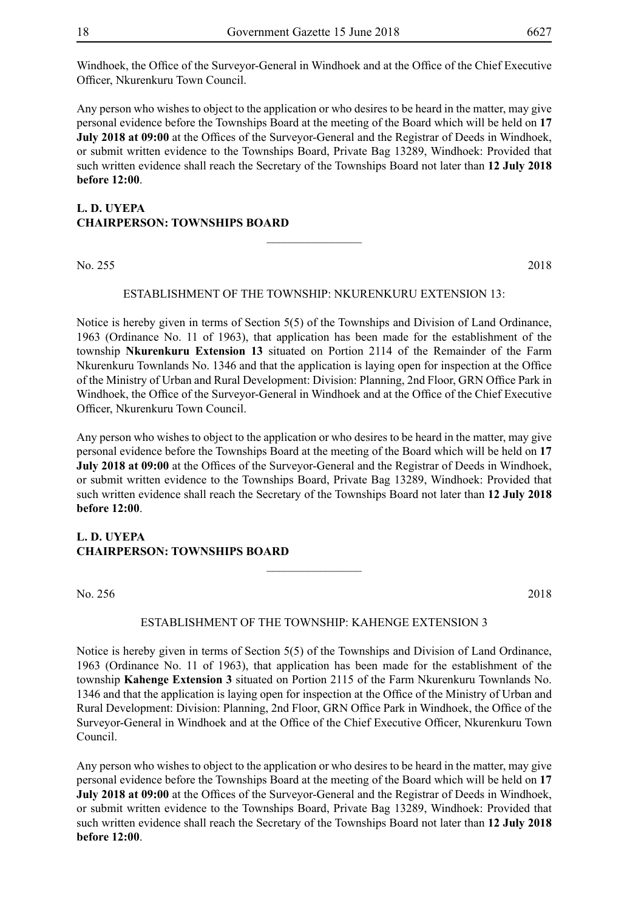Windhoek, the Office of the Surveyor-General in Windhoek and at the Office of the Chief Executive Officer, Nkurenkuru Town Council.

Any person who wishes to object to the application or who desires to be heard in the matter, may give personal evidence before the Townships Board at the meeting of the Board which will be held on **17 July 2018 at 09:00** at the Offices of the Surveyor-General and the Registrar of Deeds in Windhoek, or submit written evidence to the Townships Board, Private Bag 13289, Windhoek: Provided that such written evidence shall reach the Secretary of the Townships Board not later than **12 July 2018 before 12:00**.

#### **L. D. UYEPA CHAIRPERSON: TOWNSHIPS BOARD**  $\overline{\phantom{a}}$  , where  $\overline{\phantom{a}}$

No. 255 2018

#### ESTABLISHMENT OF THE TOWNSHIP: NKURENKURU extension 13:

Notice is hereby given in terms of Section 5(5) of the Townships and Division of Land Ordinance, 1963 (Ordinance No. 11 of 1963), that application has been made for the establishment of the township **Nkurenkuru Extension 13** situated on Portion 2114 of the Remainder of the Farm Nkurenkuru Townlands No. 1346 and that the application is laying open for inspection at the Office of the Ministry of Urban and Rural Development: Division: Planning, 2nd Floor, GRN Office Park in Windhoek, the Office of the Surveyor-General in Windhoek and at the Office of the Chief Executive Officer, Nkurenkuru Town Council.

Any person who wishes to object to the application or who desires to be heard in the matter, may give personal evidence before the Townships Board at the meeting of the Board which will be held on **17 July 2018 at 09:00** at the Offices of the Surveyor-General and the Registrar of Deeds in Windhoek, or submit written evidence to the Townships Board, Private Bag 13289, Windhoek: Provided that such written evidence shall reach the Secretary of the Townships Board not later than **12 July 2018 before 12:00**.

#### **L. D. UYEPA CHAIRPERSON: TOWNSHIPS BOARD**

No. 256 2018

#### ESTABLISHMENT OF THE TOWNSHIP: KAHENGE extension 3

 $\overline{\phantom{a}}$  , where  $\overline{\phantom{a}}$ 

Notice is hereby given in terms of Section 5(5) of the Townships and Division of Land Ordinance, 1963 (Ordinance No. 11 of 1963), that application has been made for the establishment of the township **Kahenge Extension 3** situated on Portion 2115 of the Farm Nkurenkuru Townlands No. 1346 and that the application is laying open for inspection at the Office of the Ministry of Urban and Rural Development: Division: Planning, 2nd Floor, GRN Office Park in Windhoek, the Office of the Surveyor-General in Windhoek and at the Office of the Chief Executive Officer, Nkurenkuru Town Council.

Any person who wishes to object to the application or who desires to be heard in the matter, may give personal evidence before the Townships Board at the meeting of the Board which will be held on **17 July 2018 at 09:00** at the Offices of the Surveyor-General and the Registrar of Deeds in Windhoek, or submit written evidence to the Townships Board, Private Bag 13289, Windhoek: Provided that such written evidence shall reach the Secretary of the Townships Board not later than **12 July 2018 before 12:00**.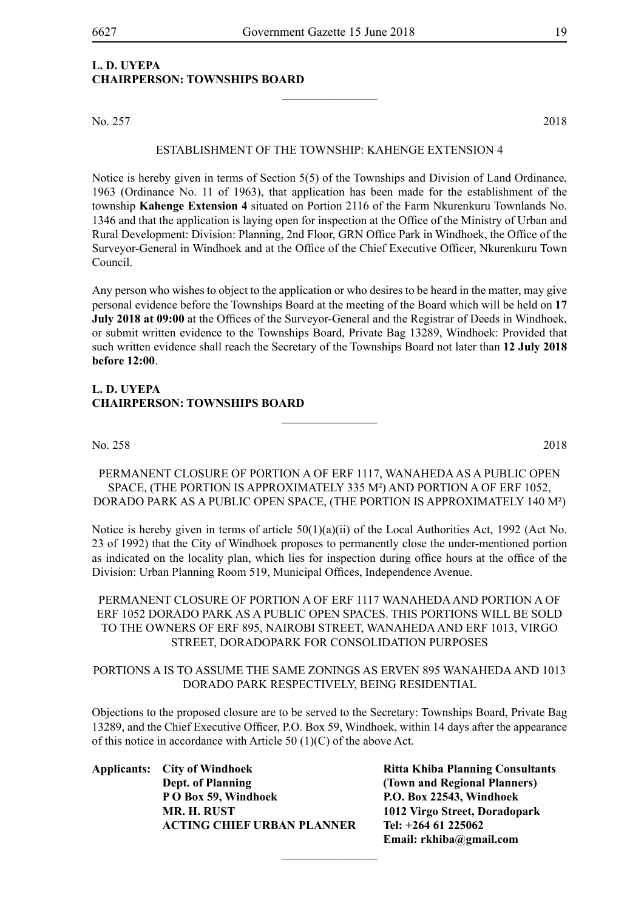#### **L. D. UYEPA CHAIRPERSON: TOWNSHIPS BOARD**

No. 257 2018

#### ESTABLISHMENT OF THE TOWNSHIP: KAHENGE extension 4

 $\overline{\phantom{a}}$  , where  $\overline{\phantom{a}}$ 

Notice is hereby given in terms of Section 5(5) of the Townships and Division of Land Ordinance, 1963 (Ordinance No. 11 of 1963), that application has been made for the establishment of the township **Kahenge Extension 4** situated on Portion 2116 of the Farm Nkurenkuru Townlands No. 1346 and that the application is laying open for inspection at the Office of the Ministry of Urban and Rural Development: Division: Planning, 2nd Floor, GRN Office Park in Windhoek, the Office of the Surveyor-General in Windhoek and at the Office of the Chief Executive Officer, Nkurenkuru Town Council.

Any person who wishes to object to the application or who desires to be heard in the matter, may give personal evidence before the Townships Board at the meeting of the Board which will be held on **17 July 2018 at 09:00** at the Offices of the Surveyor-General and the Registrar of Deeds in Windhoek, or submit written evidence to the Townships Board, Private Bag 13289, Windhoek: Provided that such written evidence shall reach the Secretary of the Townships Board not later than **12 July 2018 before 12:00**.

#### **L. D. UYEPA CHAIRPERSON: TOWNSHIPS BOARD**

No. 258 2018

PERMANENT CLOSURE OF PORTION A OF ERF 1117, WANAHEDA AS A PUBLIC OPEN SPACE, (THE PORTION IS APPROXIMATELY 335 M²) AND PORTION A OF ERF 1052, DORADO PARK AS A PUBLIC OPEN SPACE, (THE PORTION IS APPROXIMATELY 140 M²)

 $\overline{\phantom{a}}$  , where  $\overline{\phantom{a}}$ 

Notice is hereby given in terms of article  $50(1)(a)(ii)$  of the Local Authorities Act, 1992 (Act No. 23 of 1992) that the City of Windhoek proposes to permanently close the under-mentioned portion as indicated on the locality plan, which lies for inspection during office hours at the office of the Division: Urban Planning Room 519, Municipal Offices, Independence Avenue.

PERMANENT CLOSURE OF PORTION A OF ERF 1117 WANAHEDA AND PORTION A OF ERF 1052 DORADO PARK AS A PUBLIC OPEN SPACES. THIS PORTIONS WILL BE SOLD TO THE OWNERS OF ERF 895, NAIROBI STREET, WANAHEDA AND ERF 1013, VIRGO STREET, DORADOPARK FOR CONSOLIDATION PURPOSES

#### PORTIONS A IS TO ASSUME THE SAME ZONINGS AS ERVEN 895 WANAHEDA AND 1013 DORADO PARK RESPECTIVELY, BEING RESIDENTIAL

Objections to the proposed closure are to be served to the Secretary: Townships Board, Private Bag 13289, and the Chief Executive Officer, P.O. Box 59, Windhoek, within 14 days after the appearance of this notice in accordance with Article 50 (1)(C) of the above Act.

 $\frac{1}{2}$ 

| <b>Applicants:</b> City of Windhoek | <b>Ritta Khiba Planning Consultants</b> |
|-------------------------------------|-----------------------------------------|
| Dept. of Planning                   | (Town and Regional Planners)            |
| P O Box 59, Windhoek                | P.O. Box 22543, Windhoek                |
| <b>MR. H. RUST</b>                  | 1012 Virgo Street, Doradopark           |
| <b>ACTING CHIEF URBAN PLANNER</b>   | Tel: $+264$ 61 225062                   |

**(Town and Regional Planners) P O Box 59, Windhoek P.O. Box 22543, Windhoek MR. H. RUST 1012 Virgo Street, Doradopark ACTING CHIEF URBAN PLANNER Tel: +264 61 225062 Email: rkhiba@gmail.com**